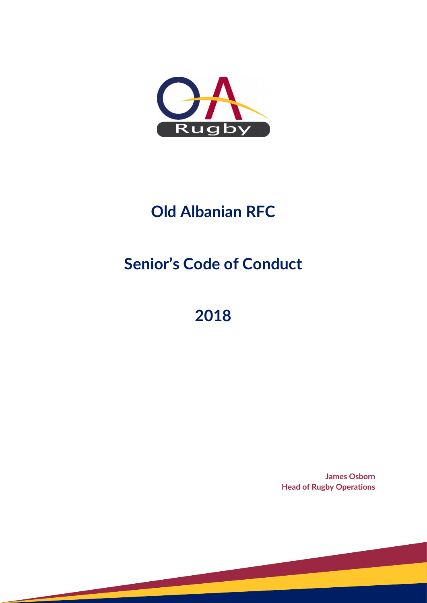

## **Old Albanian RFC**

# **Senior's Code of Conduct**

## **2018**

**James Osborn Head of Rugby Operations**